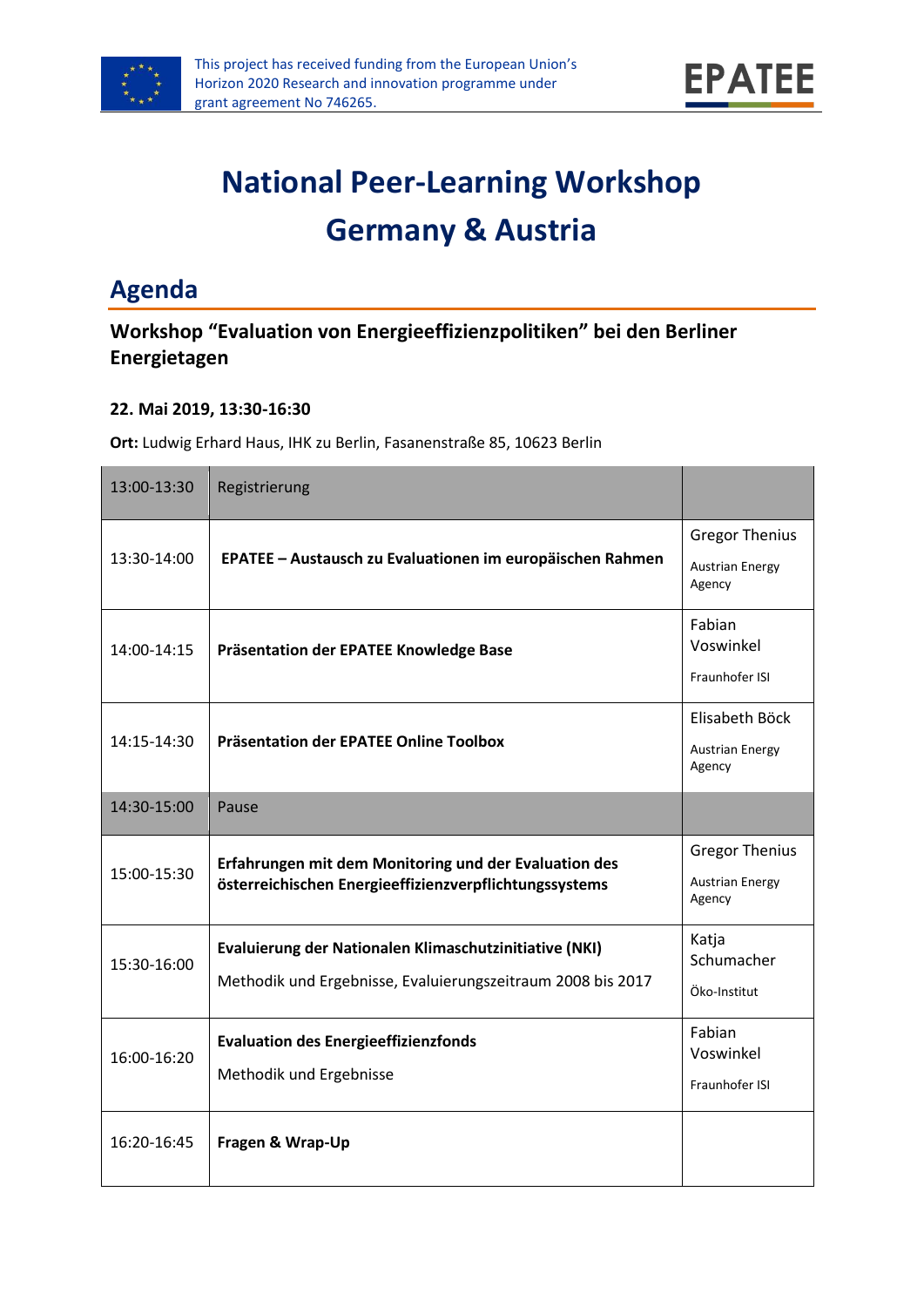



# **National Peer-Learning Workshop Germany & Austria**

# **Agenda**

### **Workshop "Evaluation von Energieeffizienzpolitiken" bei den Berliner Energietagen**

#### **22. Mai 2019, 13:30-16:30**

**Ort:** Ludwig Erhard Haus, IHK zu Berlin, Fasanenstraße 85, 10623 Berlin

| 13:00-13:30 | Registrierung                                                                                                         |                                                           |
|-------------|-----------------------------------------------------------------------------------------------------------------------|-----------------------------------------------------------|
| 13:30-14:00 | EPATEE - Austausch zu Evaluationen im europäischen Rahmen                                                             | <b>Gregor Thenius</b><br><b>Austrian Energy</b>           |
| 14:00-14:15 | Präsentation der EPATEE Knowledge Base                                                                                | Agency<br>Fabian<br>Voswinkel                             |
|             |                                                                                                                       | Fraunhofer ISI                                            |
| 14:15-14:30 | Präsentation der EPATEE Online Toolbox                                                                                | Elisabeth Böck<br><b>Austrian Energy</b><br>Agency        |
| 14:30-15:00 | Pause                                                                                                                 |                                                           |
| 15:00-15:30 | Erfahrungen mit dem Monitoring und der Evaluation des<br>österreichischen Energieeffizienzverpflichtungssystems       | <b>Gregor Thenius</b><br><b>Austrian Energy</b><br>Agency |
| 15:30-16:00 | Evaluierung der Nationalen Klimaschutzinitiative (NKI)<br>Methodik und Ergebnisse, Evaluierungszeitraum 2008 bis 2017 | Katja<br>Schumacher<br>Öko-Institut                       |
| 16:00-16:20 | <b>Evaluation des Energieeffizienzfonds</b><br>Methodik und Ergebnisse                                                | Fabian<br>Voswinkel<br>Fraunhofer ISI                     |
| 16:20-16:45 | Fragen & Wrap-Up                                                                                                      |                                                           |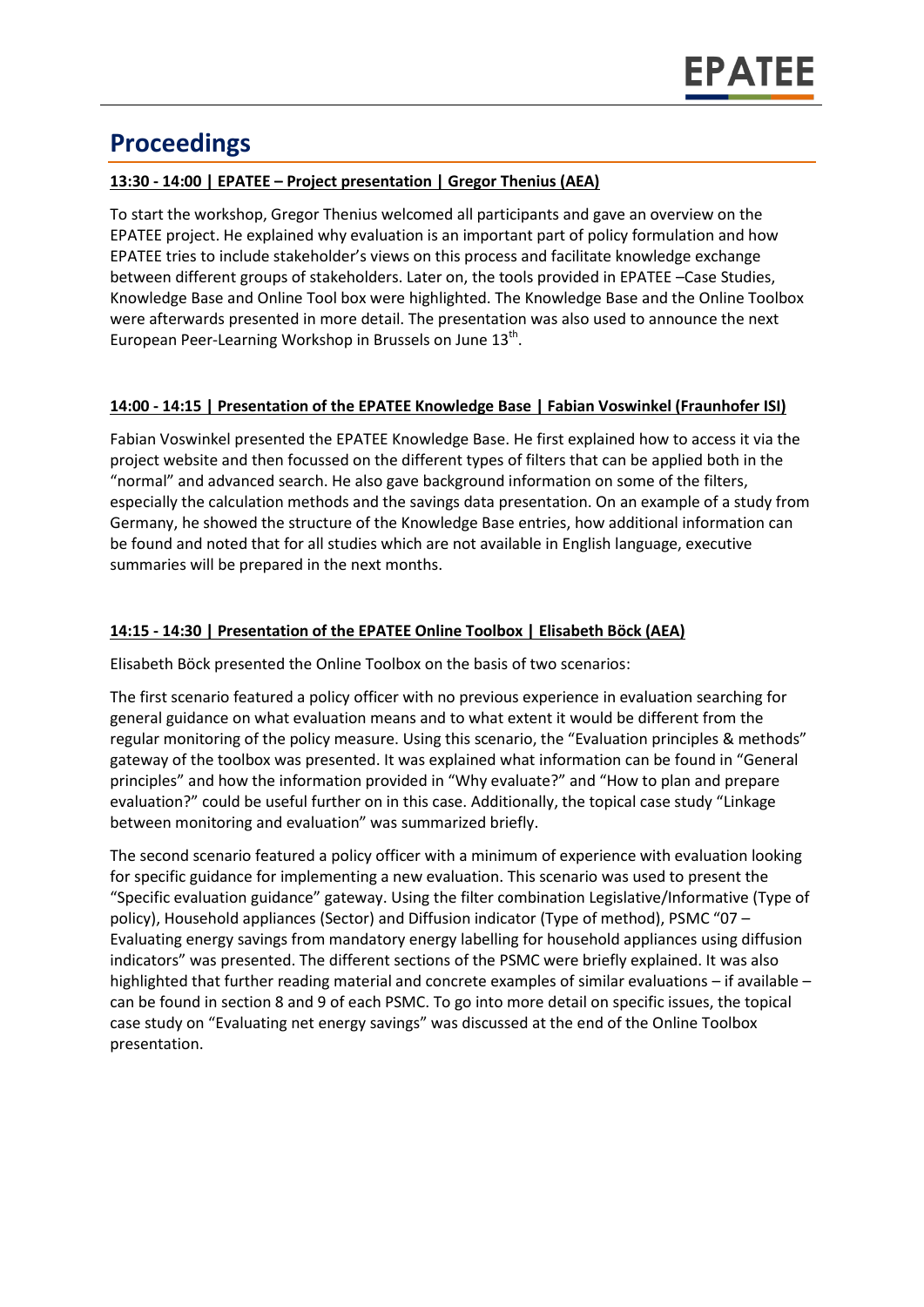# **Proceedings**

#### **13:30 - 14:00 | EPATEE – Project presentation | Gregor Thenius (AEA)**

To start the workshop, Gregor Thenius welcomed all participants and gave an overview on the EPATEE project. He explained why evaluation is an important part of policy formulation and how EPATEE tries to include stakeholder's views on this process and facilitate knowledge exchange between different groups of stakeholders. Later on, the tools provided in EPATEE –Case Studies, Knowledge Base and Online Tool box were highlighted. The Knowledge Base and the Online Toolbox were afterwards presented in more detail. The presentation was also used to announce the next European Peer-Learning Workshop in Brussels on June  $13<sup>th</sup>$ .

#### **14:00 - 14:15 | Presentation of the EPATEE Knowledge Base | Fabian Voswinkel (Fraunhofer ISI)**

Fabian Voswinkel presented the EPATEE Knowledge Base. He first explained how to access it via the project website and then focussed on the different types of filters that can be applied both in the "normal" and advanced search. He also gave background information on some of the filters, especially the calculation methods and the savings data presentation. On an example of a study from Germany, he showed the structure of the Knowledge Base entries, how additional information can be found and noted that for all studies which are not available in English language, executive summaries will be prepared in the next months.

#### **14:15 - 14:30 | Presentation of the EPATEE Online Toolbox | Elisabeth Böck (AEA)**

Elisabeth Böck presented the Online Toolbox on the basis of two scenarios:

The first scenario featured a policy officer with no previous experience in evaluation searching for general guidance on what evaluation means and to what extent it would be different from the regular monitoring of the policy measure. Using this scenario, the "Evaluation principles & methods" gateway of the toolbox was presented. It was explained what information can be found in "General principles" and how the information provided in "Why evaluate?" and "How to plan and prepare evaluation?" could be useful further on in this case. Additionally, the topical case study "Linkage between monitoring and evaluation" was summarized briefly.

The second scenario featured a policy officer with a minimum of experience with evaluation looking for specific guidance for implementing a new evaluation. This scenario was used to present the "Specific evaluation guidance" gateway. Using the filter combination Legislative/Informative (Type of policy), Household appliances (Sector) and Diffusion indicator (Type of method), PSMC "07 – Evaluating energy savings from mandatory energy labelling for household appliances using diffusion indicators" was presented. The different sections of the PSMC were briefly explained. It was also highlighted that further reading material and concrete examples of similar evaluations – if available – can be found in section 8 and 9 of each PSMC. To go into more detail on specific issues, the topical case study on "Evaluating net energy savings" was discussed at the end of the Online Toolbox presentation.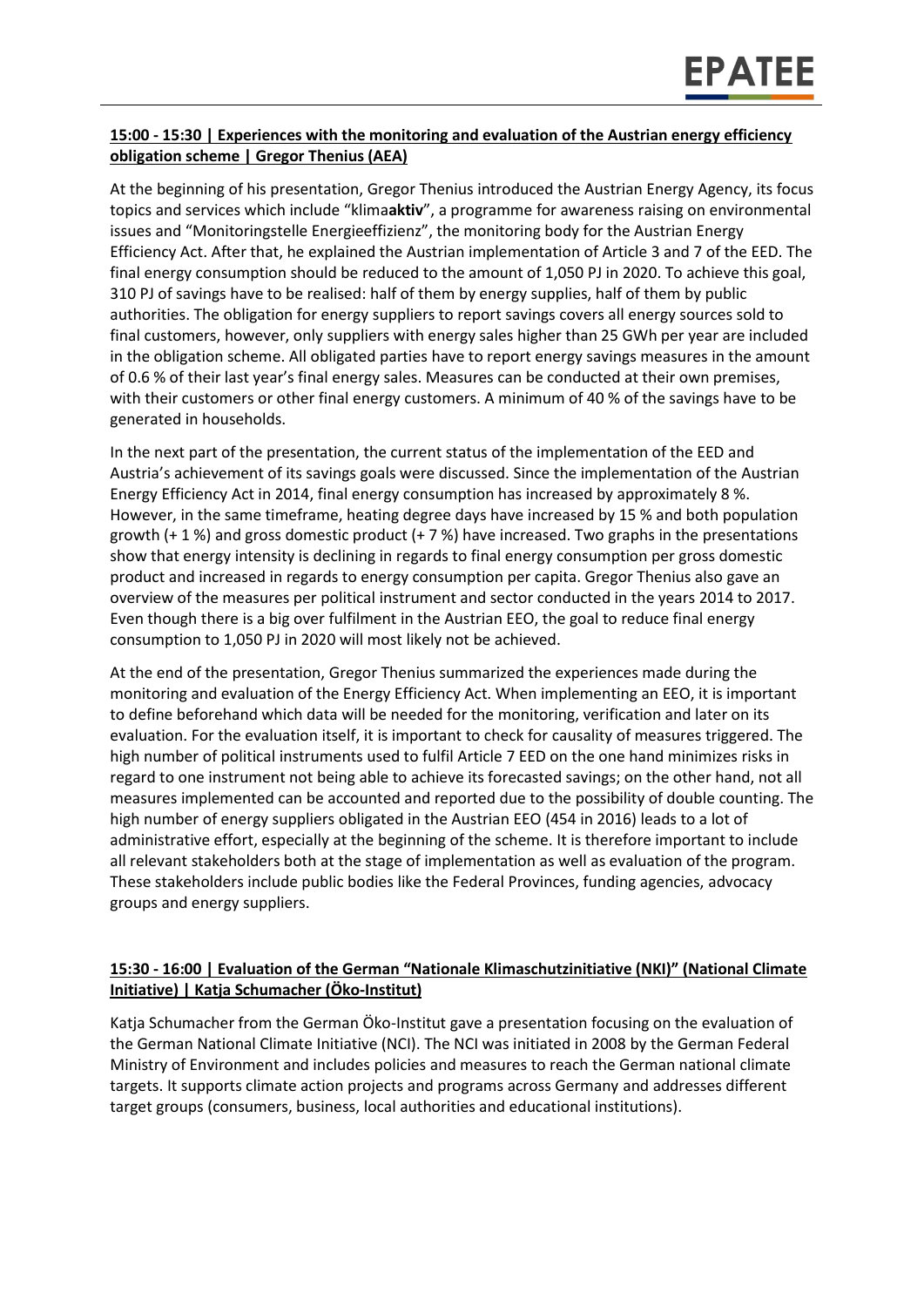#### **15:00 - 15:30 | Experiences with the monitoring and evaluation of the Austrian energy efficiency obligation scheme | Gregor Thenius (AEA)**

At the beginning of his presentation, Gregor Thenius introduced the Austrian Energy Agency, its focus topics and services which include "klima**aktiv**", a programme for awareness raising on environmental issues and "Monitoringstelle Energieeffizienz", the monitoring body for the Austrian Energy Efficiency Act. After that, he explained the Austrian implementation of Article 3 and 7 of the EED. The final energy consumption should be reduced to the amount of 1,050 PJ in 2020. To achieve this goal, 310 PJ of savings have to be realised: half of them by energy supplies, half of them by public authorities. The obligation for energy suppliers to report savings covers all energy sources sold to final customers, however, only suppliers with energy sales higher than 25 GWh per year are included in the obligation scheme. All obligated parties have to report energy savings measures in the amount of 0.6 % of their last year's final energy sales. Measures can be conducted at their own premises, with their customers or other final energy customers. A minimum of 40 % of the savings have to be generated in households.

In the next part of the presentation, the current status of the implementation of the EED and Austria's achievement of its savings goals were discussed. Since the implementation of the Austrian Energy Efficiency Act in 2014, final energy consumption has increased by approximately 8 %. However, in the same timeframe, heating degree days have increased by 15 % and both population growth  $(+ 1\%)$  and gross domestic product  $(+ 7\%)$  have increased. Two graphs in the presentations show that energy intensity is declining in regards to final energy consumption per gross domestic product and increased in regards to energy consumption per capita. Gregor Thenius also gave an overview of the measures per political instrument and sector conducted in the years 2014 to 2017. Even though there is a big over fulfilment in the Austrian EEO, the goal to reduce final energy consumption to 1,050 PJ in 2020 will most likely not be achieved.

At the end of the presentation, Gregor Thenius summarized the experiences made during the monitoring and evaluation of the Energy Efficiency Act. When implementing an EEO, it is important to define beforehand which data will be needed for the monitoring, verification and later on its evaluation. For the evaluation itself, it is important to check for causality of measures triggered. The high number of political instruments used to fulfil Article 7 EED on the one hand minimizes risks in regard to one instrument not being able to achieve its forecasted savings; on the other hand, not all measures implemented can be accounted and reported due to the possibility of double counting. The high number of energy suppliers obligated in the Austrian EEO (454 in 2016) leads to a lot of administrative effort, especially at the beginning of the scheme. It is therefore important to include all relevant stakeholders both at the stage of implementation as well as evaluation of the program. These stakeholders include public bodies like the Federal Provinces, funding agencies, advocacy groups and energy suppliers.

#### **15:30 - 16:00 | Evaluation of the German "Nationale Klimaschutzinitiative (NKI)" (National Climate Initiative) | Katja Schumacher (Öko-Institut)**

Katja Schumacher from the German Öko-Institut gave a presentation focusing on the evaluation of the German National Climate Initiative (NCI). The NCI was initiated in 2008 by the German Federal Ministry of Environment and includes policies and measures to reach the German national climate targets. It supports climate action projects and programs across Germany and addresses different target groups (consumers, business, local authorities and educational institutions).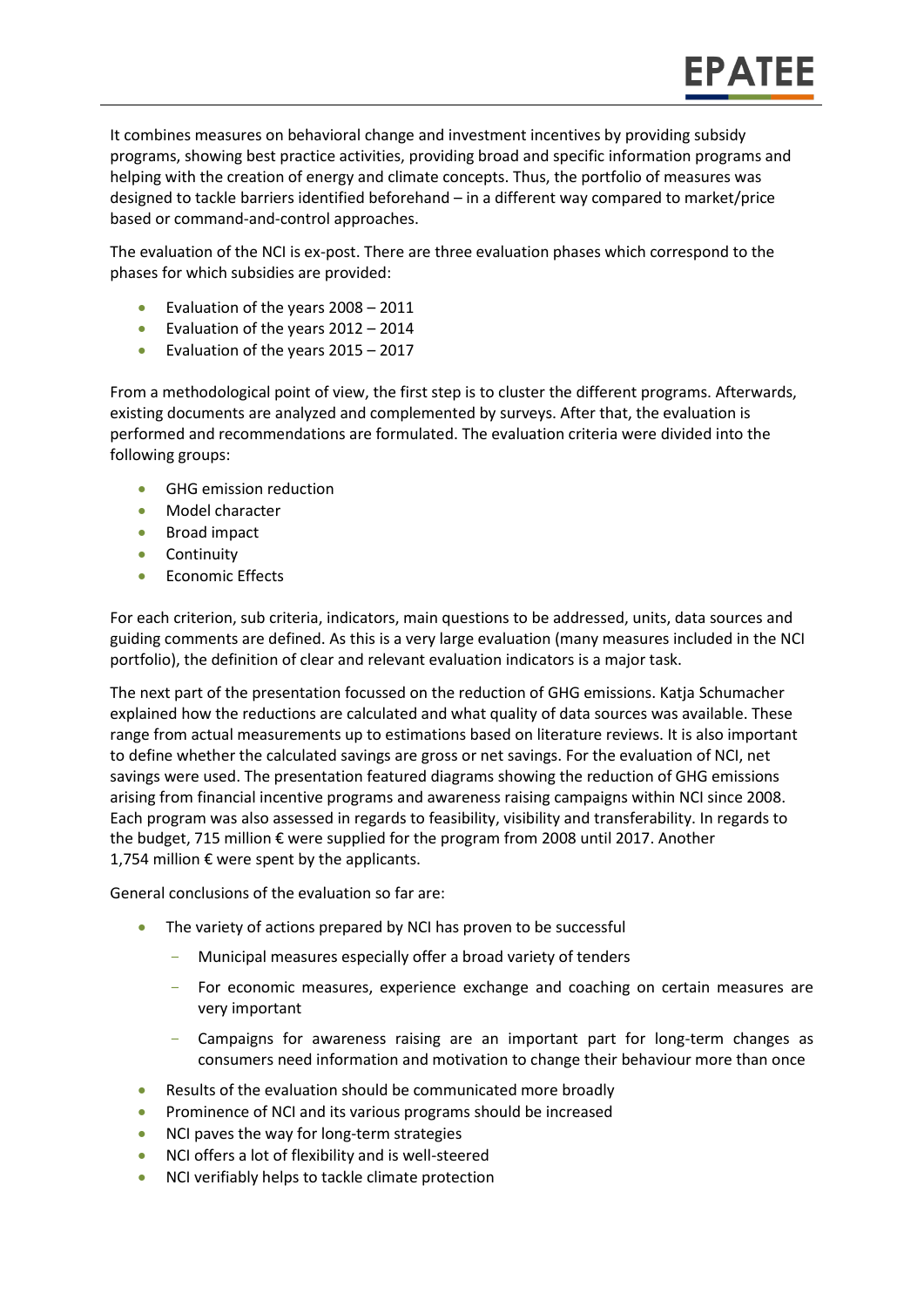It combines measures on behavioral change and investment incentives by providing subsidy programs, showing best practice activities, providing broad and specific information programs and helping with the creation of energy and climate concepts. Thus, the portfolio of measures was designed to tackle barriers identified beforehand – in a different way compared to market/price based or command-and-control approaches.

**EPATEE** 

The evaluation of the NCI is ex-post. There are three evaluation phases which correspond to the phases for which subsidies are provided:

- Evaluation of the years  $2008 2011$
- Evaluation of the years 2012 2014
- Evaluation of the years 2015 2017

From a methodological point of view, the first step is to cluster the different programs. Afterwards, existing documents are analyzed and complemented by surveys. After that, the evaluation is performed and recommendations are formulated. The evaluation criteria were divided into the following groups:

- **GHG emission reduction**
- Model character
- Broad impact
- Continuity
- **Economic Effects**

For each criterion, sub criteria, indicators, main questions to be addressed, units, data sources and guiding comments are defined. As this is a very large evaluation (many measures included in the NCI portfolio), the definition of clear and relevant evaluation indicators is a major task.

The next part of the presentation focussed on the reduction of GHG emissions. Katja Schumacher explained how the reductions are calculated and what quality of data sources was available. These range from actual measurements up to estimations based on literature reviews. It is also important to define whether the calculated savings are gross or net savings. For the evaluation of NCI, net savings were used. The presentation featured diagrams showing the reduction of GHG emissions arising from financial incentive programs and awareness raising campaigns within NCI since 2008. Each program was also assessed in regards to feasibility, visibility and transferability. In regards to the budget, 715 million € were supplied for the program from 2008 until 2017. Another 1,754 million  $€$  were spent by the applicants.

General conclusions of the evaluation so far are:

- The variety of actions prepared by NCI has proven to be successful
	- Municipal measures especially offer a broad variety of tenders
	- For economic measures, experience exchange and coaching on certain measures are very important
	- Campaigns for awareness raising are an important part for long-term changes as consumers need information and motivation to change their behaviour more than once
- Results of the evaluation should be communicated more broadly
- Prominence of NCI and its various programs should be increased
- NCI paves the way for long-term strategies
- NCI offers a lot of flexibility and is well-steered
- NCI verifiably helps to tackle climate protection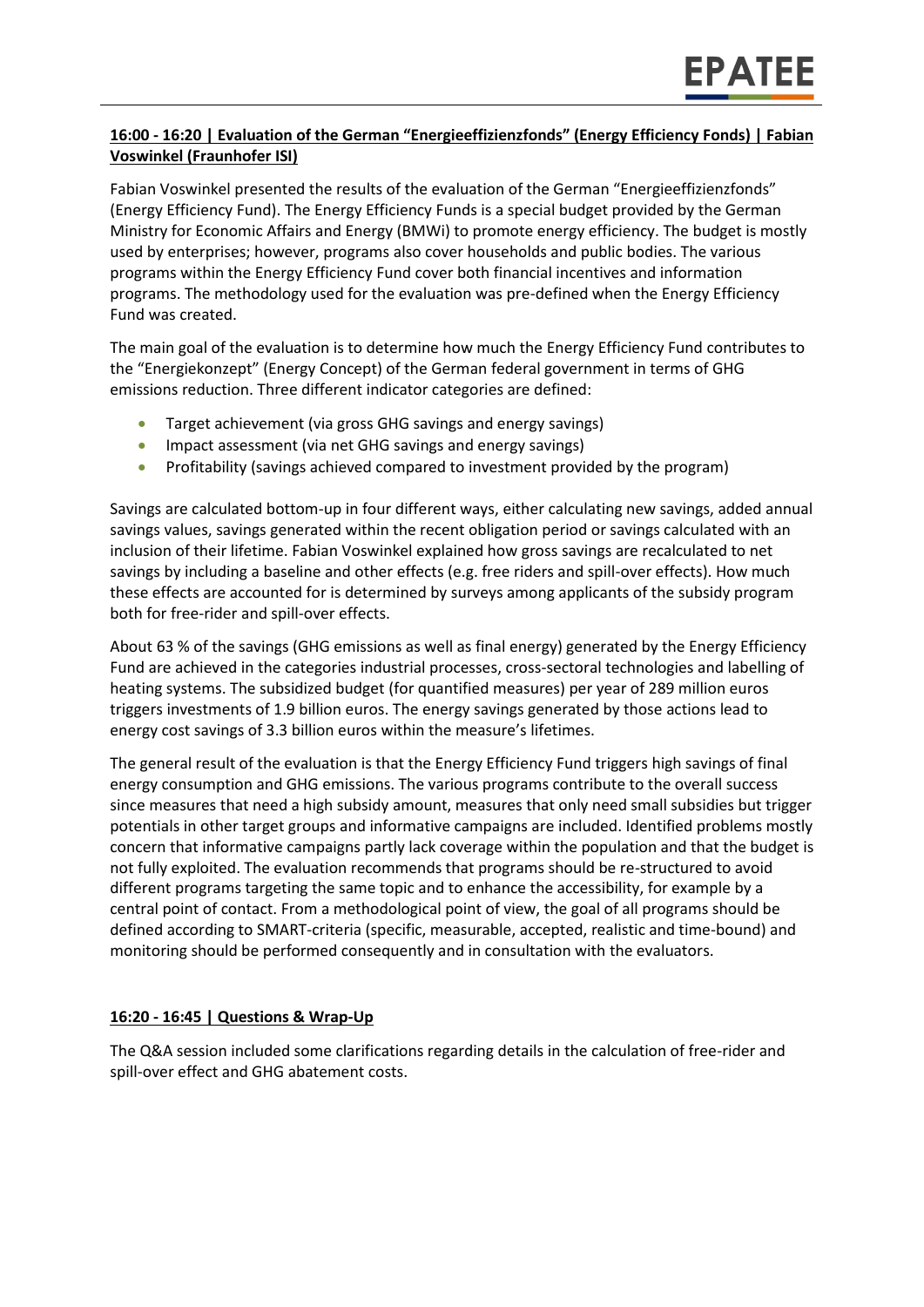#### **16:00 - 16:20 | Evaluation of the German "Energieeffizienzfonds" (Energy Efficiency Fonds) | Fabian Voswinkel (Fraunhofer ISI)**

Fabian Voswinkel presented the results of the evaluation of the German "Energieeffizienzfonds" (Energy Efficiency Fund). The Energy Efficiency Funds is a special budget provided by the German Ministry for Economic Affairs and Energy (BMWi) to promote energy efficiency. The budget is mostly used by enterprises; however, programs also cover households and public bodies. The various programs within the Energy Efficiency Fund cover both financial incentives and information programs. The methodology used for the evaluation was pre-defined when the Energy Efficiency Fund was created.

The main goal of the evaluation is to determine how much the Energy Efficiency Fund contributes to the "Energiekonzept" (Energy Concept) of the German federal government in terms of GHG emissions reduction. Three different indicator categories are defined:

- Target achievement (via gross GHG savings and energy savings)
- Impact assessment (via net GHG savings and energy savings)
- Profitability (savings achieved compared to investment provided by the program)

Savings are calculated bottom-up in four different ways, either calculating new savings, added annual savings values, savings generated within the recent obligation period or savings calculated with an inclusion of their lifetime. Fabian Voswinkel explained how gross savings are recalculated to net savings by including a baseline and other effects (e.g. free riders and spill-over effects). How much these effects are accounted for is determined by surveys among applicants of the subsidy program both for free-rider and spill-over effects.

About 63 % of the savings (GHG emissions as well as final energy) generated by the Energy Efficiency Fund are achieved in the categories industrial processes, cross-sectoral technologies and labelling of heating systems. The subsidized budget (for quantified measures) per year of 289 million euros triggers investments of 1.9 billion euros. The energy savings generated by those actions lead to energy cost savings of 3.3 billion euros within the measure's lifetimes.

The general result of the evaluation is that the Energy Efficiency Fund triggers high savings of final energy consumption and GHG emissions. The various programs contribute to the overall success since measures that need a high subsidy amount, measures that only need small subsidies but trigger potentials in other target groups and informative campaigns are included. Identified problems mostly concern that informative campaigns partly lack coverage within the population and that the budget is not fully exploited. The evaluation recommends that programs should be re-structured to avoid different programs targeting the same topic and to enhance the accessibility, for example by a central point of contact. From a methodological point of view, the goal of all programs should be defined according to SMART-criteria (specific, measurable, accepted, realistic and time-bound) and monitoring should be performed consequently and in consultation with the evaluators.

#### **16:20 - 16:45 | Questions & Wrap-Up**

The Q&A session included some clarifications regarding details in the calculation of free-rider and spill-over effect and GHG abatement costs.